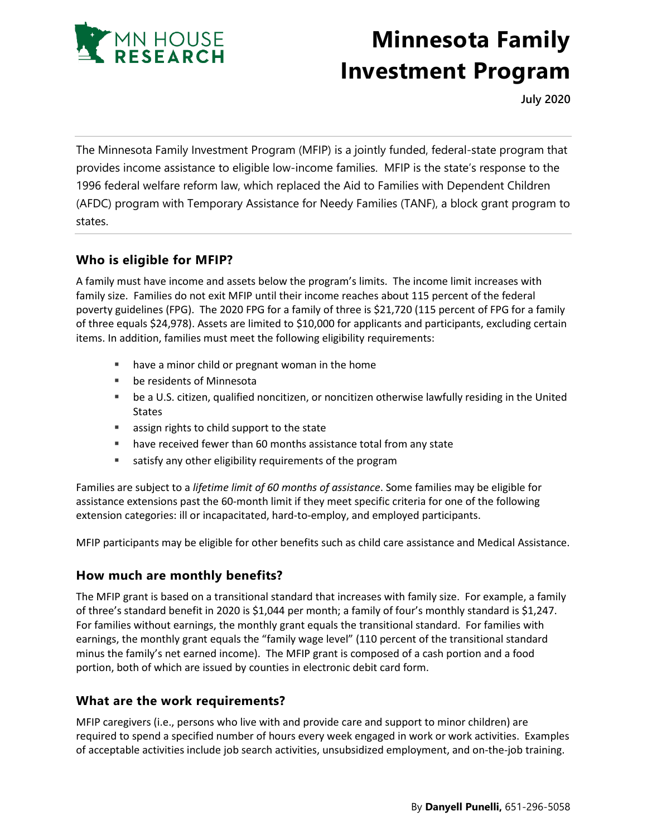

# **Minnesota Family Investment Program**

**July 2020**

The Minnesota Family Investment Program (MFIP) is a jointly funded, federal-state program that provides income assistance to eligible low-income families. MFIP is the state's response to the 1996 federal welfare reform law, which replaced the Aid to Families with Dependent Children (AFDC) program with Temporary Assistance for Needy Families (TANF), a block grant program to states.

## **Who is eligible for MFIP?**

A family must have income and assets below the program's limits. The income limit increases with family size. Families do not exit MFIP until their income reaches about 115 percent of the federal poverty guidelines (FPG). The 2020 FPG for a family of three is \$21,720 (115 percent of FPG for a family of three equals \$24,978). Assets are limited to \$10,000 for applicants and participants, excluding certain items. In addition, families must meet the following eligibility requirements:

- have a minor child or pregnant woman in the home
- be residents of Minnesota
- be a U.S. citizen, qualified noncitizen, or noncitizen otherwise lawfully residing in the United States
- **EXEC** assign rights to child support to the state
- **have received fewer than 60 months assistance total from any state**
- **satisfy any other eligibility requirements of the program**

Families are subject to a *lifetime limit of 60 months of assistance*. Some families may be eligible for assistance extensions past the 60-month limit if they meet specific criteria for one of the following extension categories: ill or incapacitated, hard-to-employ, and employed participants.

MFIP participants may be eligible for other benefits such as child care assistance and Medical Assistance.

## **How much are monthly benefits?**

The MFIP grant is based on a transitional standard that increases with family size. For example, a family of three's standard benefit in 2020 is \$1,044 per month; a family of four's monthly standard is \$1,247. For families without earnings, the monthly grant equals the transitional standard. For families with earnings, the monthly grant equals the "family wage level" (110 percent of the transitional standard minus the family's net earned income). The MFIP grant is composed of a cash portion and a food portion, both of which are issued by counties in electronic debit card form.

## **What are the work requirements?**

MFIP caregivers (i.e., persons who live with and provide care and support to minor children) are required to spend a specified number of hours every week engaged in work or work activities. Examples of acceptable activities include job search activities, unsubsidized employment, and on-the-job training.